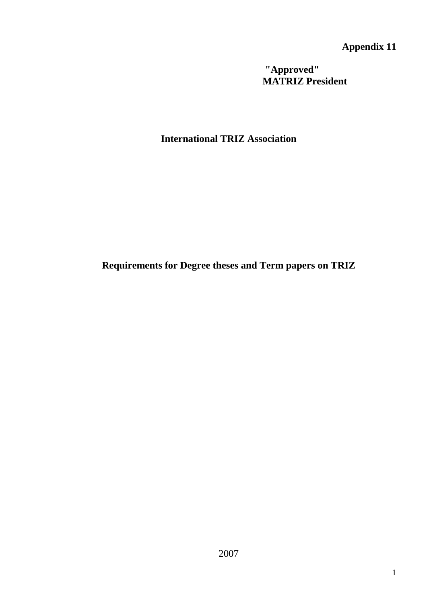**Appendix 11**

**"Approved" MATRIZ President** 

**International TRIZ Association** 

**Requirements for Degree theses and Term papers on TRIZ**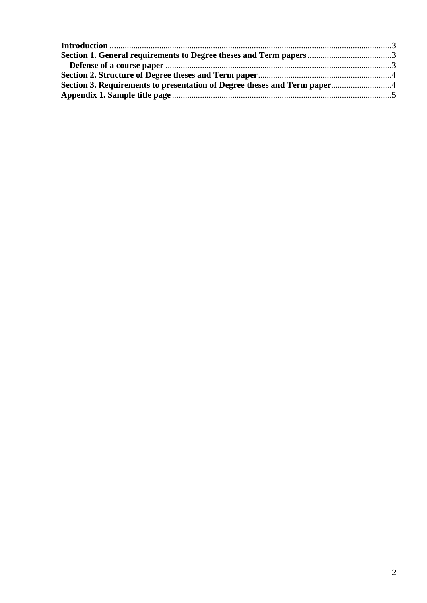| Section 3. Requirements to presentation of Degree theses and Term paper |  |
|-------------------------------------------------------------------------|--|
|                                                                         |  |
|                                                                         |  |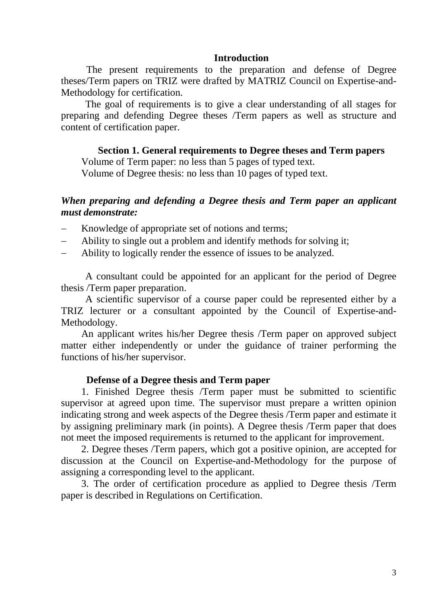#### **Introduction**

<span id="page-2-0"></span>The present requirements to the preparation and defense of Degree theses/Term papers on TRIZ were drafted by MATRIZ Council on Expertise-and-Methodology for certification.

The goal of requirements is to give a clear understanding of all stages for preparing and defending Degree theses /Term papers as well as structure and content of certification paper.

#### **Section 1. General requirements to Degree theses and Term papers**

<span id="page-2-1"></span>Volume of Term paper: no less than 5 pages of typed text.

Volume of Degree thesis: no less than 10 pages of typed text.

### *When preparing and defending a Degree thesis and Term paper an applicant must demonstrate:*

- Knowledge of appropriate set of notions and terms;
- Ability to single out a problem and identify methods for solving it;
- Ability to logically render the essence of issues to be analyzed.

A consultant could be appointed for an applicant for the period of Degree thesis /Term paper preparation.

A scientific supervisor of a course paper could be represented either by a TRIZ lecturer or a consultant appointed by the Council of Expertise-and-Methodology.

An applicant writes his/her Degree thesis /Term paper on approved subject matter either independently or under the guidance of trainer performing the functions of his/her supervisor.

#### **Defense of a Degree thesis and Term paper**

<span id="page-2-2"></span>1. Finished Degree thesis /Term paper must be submitted to scientific supervisor at agreed upon time. The supervisor must prepare a written opinion indicating strong and week aspects of the Degree thesis /Term paper and estimate it by assigning preliminary mark (in points). A Degree thesis /Term paper that does not meet the imposed requirements is returned to the applicant for improvement.

2. Degree theses /Term papers, which got a positive opinion, are accepted for discussion at the Council on Expertise-and-Methodology for the purpose of assigning a corresponding level to the applicant.

3. The order of certification procedure as applied to Degree thesis /Term paper is described in Regulations on Certification.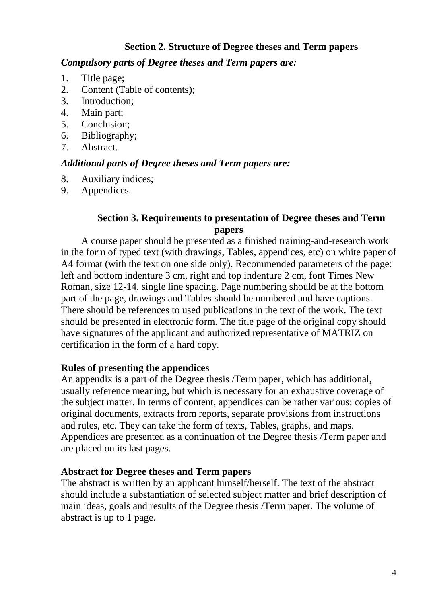# **Section 2. Structure of Degree theses and Term papers**

### <span id="page-3-0"></span>*Compulsory parts of Degree theses and Term papers are:*

- 1. Title page;
- 2. Content (Table of contents);
- 3. Introduction;
- 4. Main part;
- 5. Conclusion;
- 6. Bibliography;
- 7. Abstract.

### *Additional parts of Degree theses and Term papers are:*

- 8. Auxiliary indices;
- 9. Appendices.

### **Section 3. Requirements to presentation of Degree theses and Term papers**

<span id="page-3-1"></span>A course paper should be presented as a finished training-and-research work in the form of typed text (with drawings, Tables, appendices, etc) on white paper of A4 format (with the text on one side only). Recommended parameters of the page: left and bottom indenture 3 cm, right and top indenture 2 cm, font Times New Roman, size 12-14, single line spacing. Page numbering should be at the bottom part of the page, drawings and Tables should be numbered and have captions. There should be references to used publications in the text of the work. The text should be presented in electronic form. The title page of the original copy should have signatures of the applicant and authorized representative of MATRIZ on certification in the form of a hard copy.

### **Rules of presenting the appendices**

An appendix is a part of the Degree thesis /Term paper, which has additional, usually reference meaning, but which is necessary for an exhaustive coverage of the subject matter. In terms of content, appendices can be rather various: copies of original documents, extracts from reports, separate provisions from instructions and rules, etc. They can take the form of texts, Tables, graphs, and maps. Appendices are presented as a continuation of the Degree thesis /Term paper and are placed on its last pages.

### **Abstract for Degree theses and Term papers**

The abstract is written by an applicant himself/herself. The text of the abstract should include a substantiation of selected subject matter and brief description of main ideas, goals and results of the Degree thesis /Term paper. The volume of abstract is up to 1 page.